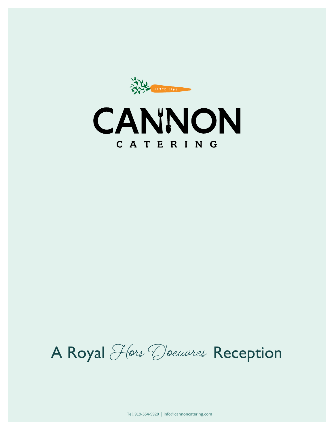SINCE 1999



A Royal Hors D'oeuvres Reception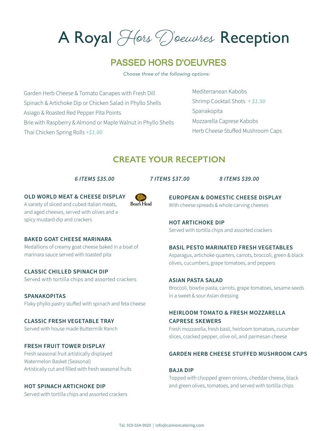A Royal Hors D'oeuvres Reception

# PASSED HORS D'OEUVRES

*Choose three of the following options:*

Garden Herb Cheese & Tomato Canapes with Fresh Dill Spinach & Artichoke Dip or Chicken Salad in Phyllo Shells Asiago & Roasted Red Pepper Pita Points Brie with Raspberry & Almond or Maple Walnut in Phyllo Shells Thai Chicken Spring Rolls *+\$1.00*

Mediterranean Kabobs Shrimp Cocktail Shots *+ \$1.50*  Spanakopita Mozzarella Caprese Kabobs Herb Cheese Stuffed Mushroom Caps

# **CREATE YOUR RECEPTION**

*6 ITEMS \$35.00 7 ITEMS \$37.00 8 ITEMS \$39.00*

**OLD WORLD MEAT & CHEESE DISPLAY** A variety of sliced and cubed Italian meats, and aged cheeses, served with olives and a spicy mustard dip and crackers



**BAKED GOAT CHEESE MARINARA**

Medallions of creamy goat cheese baked in a boat of marinara sauce served with toasted pita

**CLASSIC CHILLED SPINACH DIP** Served with tortilla chips and assorted crackers

**SPANAKOPITAS** Flaky phyllo pastry stuffed with spinach and feta cheese

**CLASSIC FRESH VEGETABLE TRAY** Served with house made Buttermilk Ranch

### **FRESH FRUIT TOWER DISPLAY**

Fresh seasonal fruit artistically displayed Watermelon Basket (Seasonal) Artistically cut and filled with fresh seasonal fruits

## **HOT SPINACH ARTICHOKE DIP**

Served with tortilla chips and assorted crackers

**EUROPEAN & DOMESTIC CHEESE DISPLAY** With cheese spreads & whole carving cheeses

## **HOT ARTICHOKE DIP**

Served with tortilla chips and assorted crackers

#### **BASIL PESTO MARINATED FRESH VEGETABLES**

Asparagus, artichoke quarters, carrots, broccoli, green & black olives, cucumbers, grape tomatoes, and peppers

#### **ASIAN PASTA SALAD**

Broccoli, bowtie pasta, carrots, grape tomatoes, sesame seeds in a sweet & sour Asian dressing

# **HEIRLOOM TOMATO & FRESH MOZZARELLA CAPRESE SKEWERS**

Fresh mozzarella, fresh basil, heirloom tomatoes, cucumber slices, cracked pepper, olive oil, and parmesan cheese

### **GARDEN HERB CHEESE STUFFED MUSHROOM CAPS**

## **BAJA DIP**

Topped with chopped green onions, cheddar cheese, black and green olives, tomatoes, and served with tortilla chips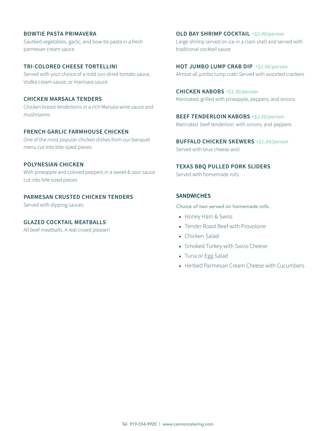### **BOWTIE PASTA PRIMAVERA**

Sautéed vegetables, garlic, and bow-tie pasta in a fresh parmesan cream sauce

#### **TRI-COLORED CHEESE TORTELLINI**

Served with your choice of a mild sun-dried tomato sauce, Vodka cream sauce, or marinara sauce

#### **CHICKEN MARSALA TENDERS**

Chicken breast tenderloins in a rich Marsala wine sauce and mushrooms

## **FRENCH GARLIC FARMHOUSE CHICKEN**

One of the most popular chicken dishes from our banquet menu cut into bite-sized pieces

### **POLYNESIAN CHICKEN**

With pineapple and colored peppers in a sweet & sour sauce cut into bite sized pieces

### **PARMESAN CRUSTED CHICKEN TENDERS**

Served with dipping sauces

#### **GLAZED COCKTAIL MEATBALLS**

All beef meatballs. A real crowd pleaser!

**OLD BAY SHRIMP COCKTAIL** *+\$2.00/person* Large shrimp served on ice in a clam shell and served with traditional cocktail sauce

**HOT JUMBO LUMP CRAB DIP** *+\$2.00/person* Almost all jumbo lump crab! Served with assorted crackers

**CHICKEN KABOBS** *+\$1.50/person* Marinated, grilled with pineapple, peppers, and onions

**BEEF TENDERLOIN KABOBS** *+\$2.50/person* Marinated beef tenderloin with onions and peppers

**BUFFALO CHICKEN SKEWERS** *+\$1.50/person* Served with blue cheese aioli

**TEXAS BBQ PULLED PORK SLIDERS** Served with homemade rolls

### **SANDWICHES**

*Choice of two served on homemade rolls.*

- Honey Ham & Swiss
- Tender Roast Beef with Provolone
- Chicken Salad
- Smoked Turkey with Swiss Cheese
- Tuna or Egg Salad
- Herbed Parmesan Cream Cheese with Cucumbers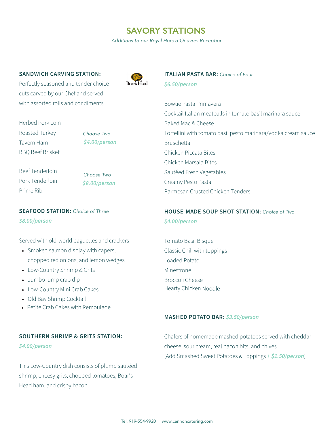# **SAVORY STATIONS**

*Additions to our Royal Hors d'Oeuvres Reception*

#### **SANDWICH CARVING STATION:**

Perfectly seasoned and tender choice cuts carved by our Chef and served with assorted rolls and condiments



**ITALIAN PASTA BAR:** *Choice of Four \$6.50/person*

Bowtie Pasta Primavera Cocktail Italian meatballs in tomato basil marinara sauce Baked Mac & Cheese Tortellini with tomato basil pesto marinara/Vodka cream sauce Bruschetta Chicken Piccata Bites Chicken Marsala Bites Sautéed Fresh Vegetables Creamy Pesto Pasta Parmesan Crusted Chicken Tenders

# **HOUSE-MADE SOUP SHOT STATION:** *Choice of Two \$4.00/person*

Tomato Basil Bisque Classic Chili with toppings Loaded Potato Minestrone Broccoli Cheese Hearty Chicken Noodle

### **MASHED POTATO BAR:** *\$3.50/person*

Herbed Pork Loin Roasted Turkey Tavern Ham BBQ Beef Brisket

*Choose Two \$4.00/person*

Beef Tenderloin Pork Tenderloin Prime Rib

 *\$8.00/person Choose Two*

**SEAFOOD STATION:** *Choice of Three \$8.00/person*

Served with old-world baguettes and crackers

- Smoked salmon display with capers, chopped red onions, and lemon wedges
- Low-Country Shrimp & Grits
- Jumbo lump crab dip
- Low-Country Mini Crab Cakes
- Old Bay Shrimp Cocktail
- Petite Crab Cakes with Remoulade

#### **SOUTHERN SHRIMP & GRITS STATION:**

*\$4.00/person*

This Low-Country dish consists of plump sautéed shrimp, cheesy grits, chopped tomatoes, Boar's Head ham, and crispy bacon.

Chafers of homemade mashed potatoes served with cheddar cheese, sour cream, real bacon bits, and chives (Add Smashed Sweet Potatoes & Toppings *+ \$1.50/person*)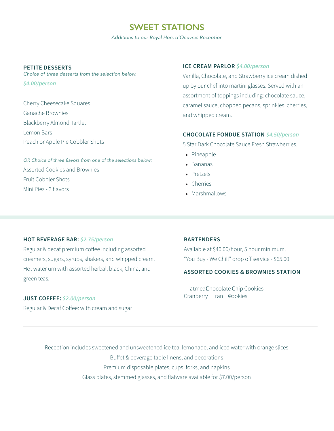# **SWEET STATIONS**

*Additions to our Royal Hors d'Oeuvres Reception*

#### **PETITE DESSERTS**

*Choice of three desserts from the selection below. \$4.00/person*

Cherry Cheesecake Squares Ganache Brownies Blackberry Almond Tartlet Lemon Bars Peach or Apple Pie Cobbler Shots

OR Choice of three flavors from one of the selections below: Assorted Cookies and Brownies Fruit Cobbler Shots Mini Pies - 3 flavors

### **ICE CREAM PARLOR** *\$4.00/person*

Vanilla, Chocolate, and Strawberry ice cream dished up by our chef into martini glasses. Served with an assortment of toppings including: chocolate sauce, caramel sauce, chopped pecans, sprinkles, cherries, and whipped cream.

### **CHOCOLATE FONDUE STATION** *\$4.50/person*

5 Star Dark Chocolate Sauce Fresh Strawberries.

- Pineapple
- Bananas
- Pretzels
- Cherries
- Marshmallows

## **HOT BEVERAGE BAR:** *\$2.75/person*

Regular & decaf premium coffee including assorted creamers, sugars, syrups, shakers, and whipped cream. Hot water urn with assorted herbal, black, China, and green teas.

#### **JUST COFFEE:** *\$2.00/person*

Regular & Decaf Coffee: with cream and sugar

#### **BARTENDERS**

Available at \$40.00/hour, 5 hour minimum. "You Buy - We Chill" drop off service - \$65.00.

### **ASSORTEA** @00? **ES** & >RO=; **ES** STAT $\Phi$ ; :

\$ /person

atmealChocolate Chip Cookies Cranberry ran Cookies

!

Reception includes sweetened and unsweetened ice tea, lemonade, and iced water with orange slices Buffet & beverage table linens, and decorations Premium disposable plates, cups, forks, and napkins Glass plates, stemmed glasses, and flatware available for \$7.00/person